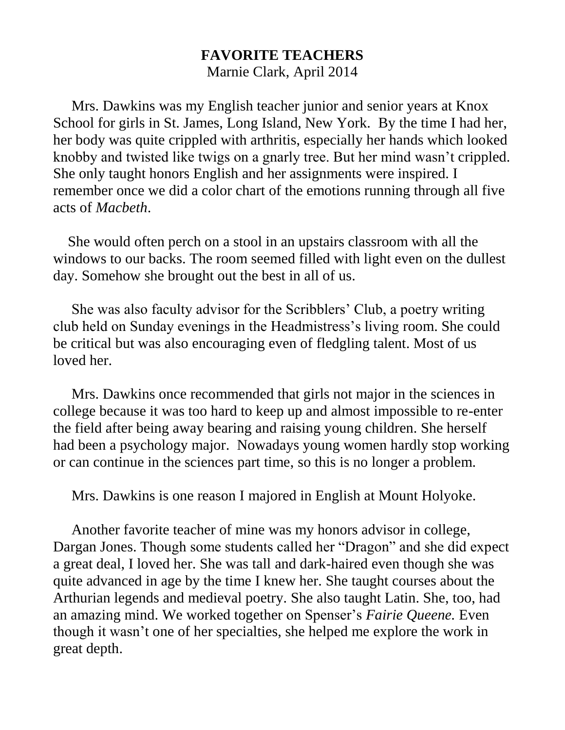## **FAVORITE TEACHERS** Marnie Clark, April 2014

 Mrs. Dawkins was my English teacher junior and senior years at Knox School for girls in St. James, Long Island, New York. By the time I had her, her body was quite crippled with arthritis, especially her hands which looked knobby and twisted like twigs on a gnarly tree. But her mind wasn't crippled. She only taught honors English and her assignments were inspired. I remember once we did a color chart of the emotions running through all five acts of *Macbeth*.

 She would often perch on a stool in an upstairs classroom with all the windows to our backs. The room seemed filled with light even on the dullest day. Somehow she brought out the best in all of us.

 She was also faculty advisor for the Scribblers' Club, a poetry writing club held on Sunday evenings in the Headmistress's living room. She could be critical but was also encouraging even of fledgling talent. Most of us loved her.

 Mrs. Dawkins once recommended that girls not major in the sciences in college because it was too hard to keep up and almost impossible to re-enter the field after being away bearing and raising young children. She herself had been a psychology major. Nowadays young women hardly stop working or can continue in the sciences part time, so this is no longer a problem.

Mrs. Dawkins is one reason I majored in English at Mount Holyoke.

 Another favorite teacher of mine was my honors advisor in college, Dargan Jones. Though some students called her "Dragon" and she did expect a great deal, I loved her. She was tall and dark-haired even though she was quite advanced in age by the time I knew her. She taught courses about the Arthurian legends and medieval poetry. She also taught Latin. She, too, had an amazing mind. We worked together on Spenser's *Fairie Queene.* Even though it wasn't one of her specialties, she helped me explore the work in great depth.